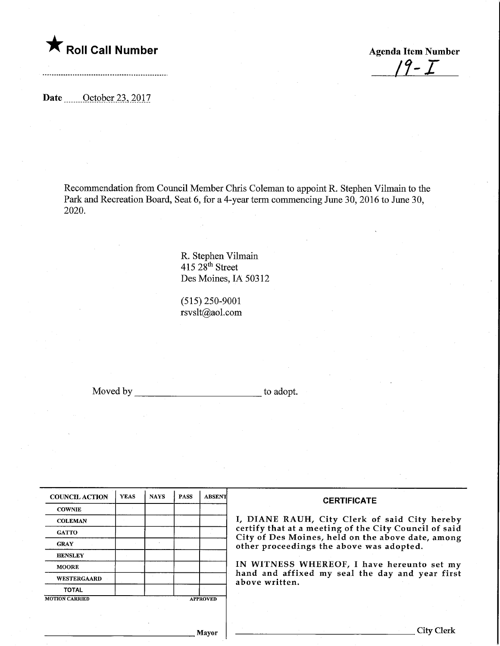

Roll Call Number<br>  $\begin{array}{c} \uparrow & \uparrow & \uparrow \ \hline \end{array}$  Agenda Item Number

Date .......October 23, 2017

Recommendation from Council Member Chris Coleman to appoint R. Stephen Vilmain to the Park and Recreation Board, Seat 6, for a 4-year term commencing June 30, 2016 to June 30, 2020.

> R. Stephen Vihnain  $415\,28$ <sup>th</sup> Street Des Moines, IA 50312

(515)250-9001 rsvslt@aol.com

Moved by to adopt.

| <b>COUNCIL ACTION</b> | <b>YEAS</b> | <b>NAYS</b> | <b>PASS</b>     | <b>ABSENT</b> |
|-----------------------|-------------|-------------|-----------------|---------------|
| <b>COWNIE</b>         |             |             |                 |               |
| <b>COLEMAN</b>        |             |             |                 |               |
| <b>GATTO</b>          |             |             |                 |               |
| <b>GRAY</b>           |             |             |                 |               |
| <b>HENSLEY</b>        |             |             |                 |               |
| <b>MOORE</b>          |             |             |                 |               |
| WESTERGAARD           |             |             |                 |               |
| <b>TOTAL</b>          |             |             |                 |               |
| <b>MOTION CARRIED</b> |             |             | <b>APPROVED</b> |               |

**CERTIFICATE** 

1, DIANE RAUH, City Clerk of said City hereby certify that at a meeting of the City Council of said City of Des Moines, held on the above date, among other proceedings the above was adopted.

IN WITNESS WHEREOF, I have hereunto set my hand and affixed my seal the day and year first above written.

Mayor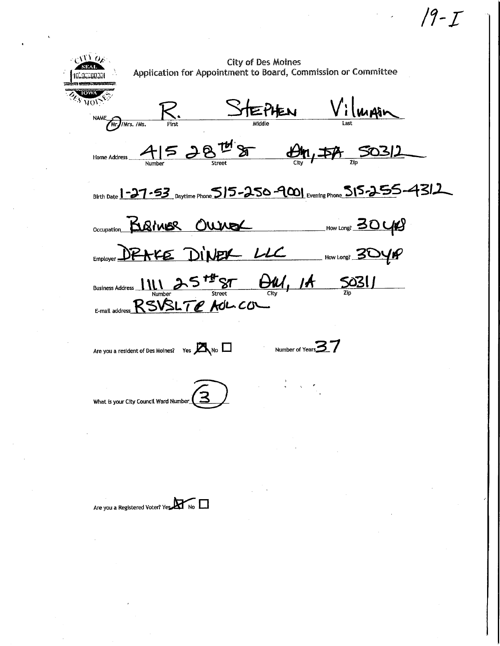$\frac{f(f)}{f(f)}$  Oxes and the City of Des Moines Application for Appointment to Board, Commission or Committee  $R.$  Stephen Vilman  $\overline{\text{vol}}$ NAME Mr /Mrs. /Ms. Why / Mrs. /Ms. First Middle Last  $\mathcal{A}$  15 28<sup>th</sup> 8  $\mathcal{B}$ , 50312  $\frac{1}{\frac{C}{\frac{1}{C}}}\frac{1}{\frac{C}{C}}$  Street  $\frac{1}{\frac{C}{C}}\frac{1}{\frac{C}{C}}$ Birth Date  $1 - 27 - 53$  Daytime Phone  $515 - 250 - 900$  Evening Phone  $515 - 255 - 431$ OCCUpation **BURINER OWNER** \_\_\_\_\_\_\_\_\_\_\_\_How Long? 30 UPS  $L$ <sub>Imployer</sub>  $D$  $P$  $R$  $F$  $E$   $D$  $i$  $N$  $P$  $K$   $L$   $L$   $L$   $L$   $H$   $N$   $L$   $L$   $M$  $N$ Susiness Address 1111 25<sup>+4+</sup>ST  $\Theta M$ , 14 S031  $\frac{N}{\frac{1}{\text{Number}}}\frac{N}{\text{Stret}}$  Street City  $\frac{N}{\text{City}}$  $E_{\text{final} \text{ address}}$  RSVSLTE AdL. CO Are you a resident of Des Moines? Yes  $M_{\text{NO}}$   $\Box$  Number of Years  $\mathbf{37}$ What is your City Council Ward Number

19 - T

Are you a Registered Voter? Yes. No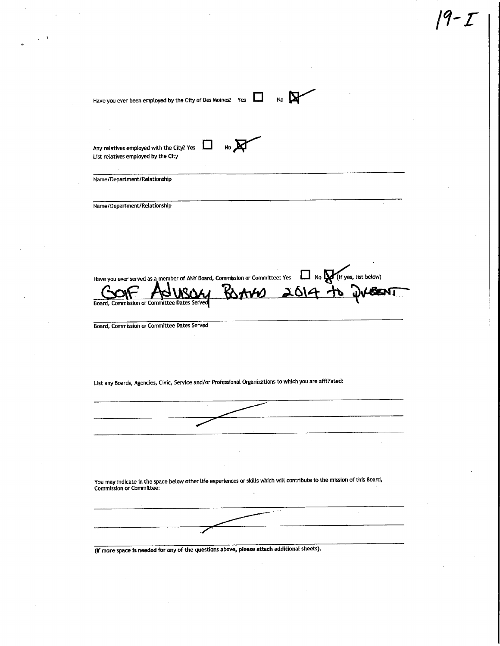| List relatives employed by the City | Any relatives employed with the City? Yes<br>No                                                                          |
|-------------------------------------|--------------------------------------------------------------------------------------------------------------------------|
| Name/Department/Relationship        |                                                                                                                          |
| Name/Department/Relationship        |                                                                                                                          |
|                                     |                                                                                                                          |
|                                     |                                                                                                                          |
|                                     |                                                                                                                          |
|                                     | Have you ever served as a member of ANY Board, Commission or Committee: Yes 11 No March 15 yes, list below)              |
|                                     | Board, Commission or Committee Dates Served                                                                              |
|                                     | Board, Commission or Committee Dates Served                                                                              |
|                                     |                                                                                                                          |
|                                     |                                                                                                                          |
|                                     |                                                                                                                          |
|                                     | List any Boards, Agencies, Civic, Service and/or Professional Organizations to which you are affiliated:                 |
|                                     |                                                                                                                          |
|                                     |                                                                                                                          |
|                                     |                                                                                                                          |
|                                     |                                                                                                                          |
|                                     |                                                                                                                          |
| <b>Commission or Committee:</b>     | You may indicate in the space below other life experiences or skills which will contribute to the mission of this Board, |
|                                     | سيتوبو ب<br>$\sim$                                                                                                       |

 $\lambda_{\rm{max}}$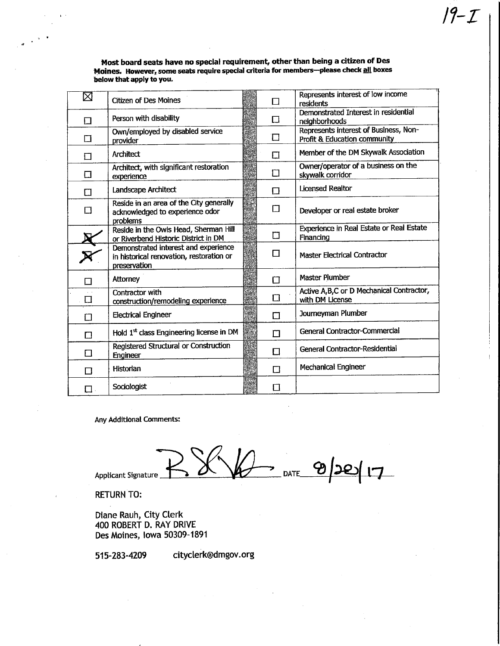Represents interest of low income ⊠ Citizen of Des Moines  $\Box$ residents Demonstrated Interest in residential  $\Box$  Person with disability  $\Box$ neighborhoods Represents interest of Business, Nonwhy employed by disabled service  $\square$  $\Box$ Profit & Education community **a** Architect **D** Architect **D** Member of the DM Skywalk Association Owner/operator of a business on the Architect, with significant restoration experience and algorithm and condition  $\Box$ skywalk corridor D Landscape Architect D Licensed Realtor Reside in an area of the City generally B8  $\Box$  Developer or real estate broker  $\Box$ acknowledged to experience odor problems<br>Reside in the Owls Head, Sherman Hill Experience in Real Estate or Real Estate Reside in the Owls Head, Sherman Hill<br>
or Riverbend Historic District in DM<br>
Demonstrated interest and experience Finandng  $\overline{\mathbf{x}}$ Demonstrated interest and experience  $\Box$  | Master Electrical Contractor in historical renovation, restoration or preservation D Attorney **D Master Plumber** Active A,B,C or D Mechanical Contractor, Contractor with construction/remodeling experience Department  $\Box$ with DM License D **Electrical Engineer** D **D** Journeyman Plumber Hold 1<sup>st</sup> class Engineering license in DM **D** General Contractor-Commercial Registered Structural or Construction<br>Engineer  $\Box$ Engineer D General Contractor-Residential D Historian D Mechanical Engineer  $\Box$  Sociologist  $\Box$ 

Any Additional Comments:

Applicant Signature  $\sum_{\text{DATE}_-}$ 

RETURN TO:

Diane Rauh, City Clerk 400 ROBERT D. RAY DRIVE Des Moines, Iowa 50309-1891

515-283-4209 cityclerk@dmgov.org

Most board seats have no special requirement, other than being a citizen of Des Moines. However, some seats require special criteria for members—please check all boxes below that apply to you.

 $19-1$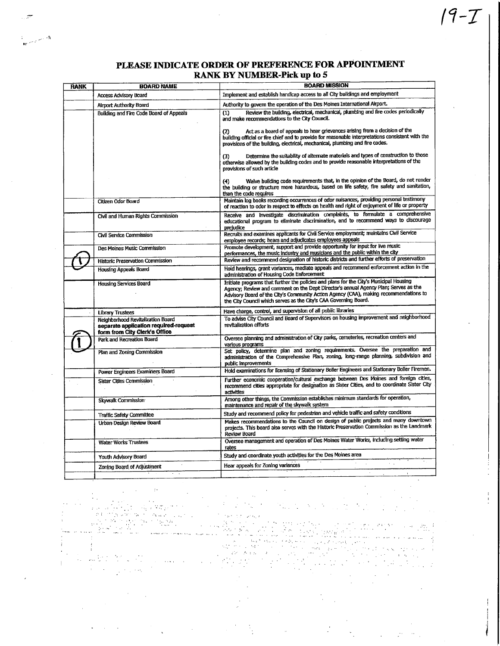$19 - T$ 

| <b>RANK</b> | <b>BOARD NAME</b>                                                                                           | <b>BOARD MISSION</b>                                                                                                                                                                                                                                                                                                                       |
|-------------|-------------------------------------------------------------------------------------------------------------|--------------------------------------------------------------------------------------------------------------------------------------------------------------------------------------------------------------------------------------------------------------------------------------------------------------------------------------------|
|             | <b>Access Advisory Board</b>                                                                                | Implement and establish handicap access to all City buildings and employment                                                                                                                                                                                                                                                               |
|             | Airport Authority Board                                                                                     | Authority to govern the operation of the Des Moines International Airport.                                                                                                                                                                                                                                                                 |
|             | Building and Fire Code Board of Appeals                                                                     | Review the building, electrical, mechanical, plumbing and fire codes periodically<br>(1)<br>and make recommendations to the City Council.                                                                                                                                                                                                  |
|             |                                                                                                             | Act as a board of appeals to hear grievances arising from a decision of the<br>(2)<br>building official or fire chief and to provide for reasonable interpretations consistent with the<br>provisions of the building, electrical, mechanical, plumbing and fire codes.                                                                    |
|             |                                                                                                             | Determine the suitability of alternate materials and types of construction to those<br>(3)<br>otherwise allowed by the building codes and to provide reasonable interpretations of the<br>provisions of such article                                                                                                                       |
|             |                                                                                                             | Waive building code requirements that, in the opinion of the Board, do not render<br>(4)<br>the building or structure more hazardous, based on life safety, fire safety and sanitation,<br>than the code requires                                                                                                                          |
|             | Citizen Odor Board                                                                                          | Maintain log books recording occurrences of odor nuisances, providing personal testimony<br>of reaction to odor in respect to effects on health and right of enjoyment of life or property                                                                                                                                                 |
|             | Civil and Human Rights Commission                                                                           | Receive and investigate discrimination complaints, to formulate a comprehensive<br>educational program to eliminate discrimination, and to recommend ways to discourage<br>prejudice                                                                                                                                                       |
|             | Civil Service Commission                                                                                    | Recruits and examines applicants for Civil Service employment; maintains Civil Service<br>employee records; hears and adjudicates employees appeals                                                                                                                                                                                        |
|             | Des Moines Music Commission                                                                                 | Promote development, support and provide opportunity for input for live music<br>performances, the music industry and musicians and the public within the city                                                                                                                                                                             |
|             | Historic Preservation Commission                                                                            | Review and recommend designation of historic districts and further efforts of preservation                                                                                                                                                                                                                                                 |
|             | Housing Appeals Board                                                                                       | Hold hearings, grant variances, mediate appeals and recommend enforcement action in the<br>administration of Housing Code Enforcement                                                                                                                                                                                                      |
|             | <b>Housing Services Board</b>                                                                               | Initiate programs that further the policies and plans for the City's Municipal Housing<br>Agency; Review and comment on the Dept Director's annual Agency Plan; Serves as the<br>Advisory Board of the City's Community Action Agency (CAA), making recommendations to<br>the City Council which serves as the City's CAA Governing Board. |
|             | <b>Library Trustees</b>                                                                                     | Have charge, control, and supervision of all public libraries                                                                                                                                                                                                                                                                              |
|             | Neighborhood Revitalization Board<br>separate application required-request<br>form from City Clerk's Office | To advise City Council and Board of Supervisors on housing improvement and neighborhood<br>revitalization efforts                                                                                                                                                                                                                          |
|             | Park and Recreation Board                                                                                   | Oversee planning and administration of City parks, cemeteries, recreation centers and<br>various programs                                                                                                                                                                                                                                  |
|             | Plan and Zoning Commission                                                                                  | Set policy, determine plan and zoning requirements. Oversee the preparation and<br>administration of the Comprehensive Plan, zoning, long-range planning, subdivision and<br>public Improvements                                                                                                                                           |
|             | Power Engineers Examiners Board                                                                             | Hold examinations for licensing of Stationary Boller Engineers and Stationary Boller Firemen.                                                                                                                                                                                                                                              |
|             | Sister Cities Commission                                                                                    | Further economic cooperation/cultural exchange between Des Moines and foreign cities,<br>recommend cities appropriate for designation as Sister Cities, and to coordinate Sister City<br>activities                                                                                                                                        |
|             | Skywalk Commission                                                                                          | Among other things, the Commission establishes minimum standards for operation,<br>maintenance and repair of the skywalk system                                                                                                                                                                                                            |
|             | Traffic Safety Committee                                                                                    | Study and recommend policy for pedestrian and vehicle traffic and safety conditions                                                                                                                                                                                                                                                        |
|             | Urban Design Review Board                                                                                   | Makes recommendations to the Council on design of public projects and many downtown<br>projects. This board also serves with the Historic Preservation Commission as the Landmark<br>Review Board                                                                                                                                          |
|             | <b>Water Works Trustees</b>                                                                                 | Oversee management and operation of Des Moines Water Works, including setting water<br>rates                                                                                                                                                                                                                                               |
|             | Youth Advisory Board                                                                                        | Study and coordinate youth activities for the Des Moines area                                                                                                                                                                                                                                                                              |
|             | Zoning Board of Adjustment                                                                                  | $\lambda = 1$<br>Hear appeals for Zoning variances                                                                                                                                                                                                                                                                                         |
|             |                                                                                                             |                                                                                                                                                                                                                                                                                                                                            |

 $\pm$  $\sqrt{2} \mathcal{L} \mathcal{L}$ ۰., ų.  $\mathcal{L}_{\mathcal{A}}$ 子生 Director (No. i Pelase း<br>မွေးအားပေါ် မွေးကို ကျင်<br>အောင်းအသော် ng na  $\sim$ 

Ť  $\sim 10^{11}$  $\mathcal{L}_{\mathrm{eff}}$ Ŷ.

.<br>. . . . . .

 $\mathbf i$ 

 $\mathbf{v}$  and  $\mathbf{v}$ 

ي.<br>المحمد المسيح المسيح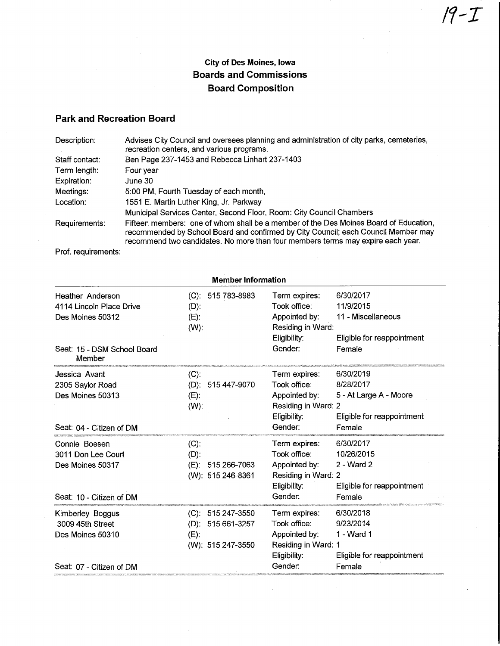## City of Des Moines, Iowa Boards and Commissions Board Composition

## Park and Recreation Board

| Description:   | Advises City Council and oversees planning and administration of city parks, cemeteries,<br>recreation centers, and various programs.                                                                                                                         |
|----------------|---------------------------------------------------------------------------------------------------------------------------------------------------------------------------------------------------------------------------------------------------------------|
| Staff contact: | Ben Page 237-1453 and Rebecca Linhart 237-1403                                                                                                                                                                                                                |
| Term length:   | Four year                                                                                                                                                                                                                                                     |
| Expiration:    | June 30                                                                                                                                                                                                                                                       |
| Meetings:      | 5:00 PM, Fourth Tuesday of each month,                                                                                                                                                                                                                        |
| Location:      | 1551 E. Martin Luther King, Jr. Parkway                                                                                                                                                                                                                       |
|                | Municipal Services Center, Second Floor, Room: City Council Chambers                                                                                                                                                                                          |
| Requirements:  | Fifteen members: one of whom shall be a member of the Des Moines Board of Education,<br>recommended by School Board and confirmed by City Council; each Council Member may<br>recommend two candidates. No more than four members terms may expire each year. |

Prof. requirements:

| <b>Member Information</b>                                        |                                                                           |                                                                                       |                                                                             |
|------------------------------------------------------------------|---------------------------------------------------------------------------|---------------------------------------------------------------------------------------|-----------------------------------------------------------------------------|
| Heather Anderson<br>4114 Lincoln Place Drive<br>Des Moines 50312 | $(C): 515783-8983$<br>$(D)$ :<br>$(E)$ :<br>$(W)$ :                       | Term expires:<br>Took office:<br>Appointed by:<br>Residing in Ward:<br>Eligibility:   | 6/30/2017<br>11/9/2015<br>11 - Miscellaneous<br>Eligible for reappointment  |
| Seat: 15 - DSM School Board<br>Member                            |                                                                           | Gender:                                                                               | Female                                                                      |
| Jessica Avant                                                    | $(C)$ :                                                                   | Term expires:                                                                         | 6/30/2019                                                                   |
| 2305 Saylor Road<br>Des Moines 50313<br>Seat: 04 - Citizen of DM | $(D)$ :<br>515 447-9070<br>$(E)$ :<br>$(W)$ :                             | Took office:<br>Appointed by:<br>Residing in Ward: 2<br>Eligibility:<br>Gender:       | 8/28/2017<br>5 - At Large A - Moore<br>Eligible for reappointment<br>Female |
|                                                                  |                                                                           |                                                                                       |                                                                             |
| Connie Boesen<br>3011 Don Lee Court                              | $(C)$ :<br>$(D)$ :                                                        | Term expires:<br>Took office:                                                         | 6/30/2017<br>10/26/2015                                                     |
| Des Moines 50317                                                 | 515 266-7063<br>$(E)$ :<br>(W): 515 246-8361                              | Appointed by:<br>Residing in Ward: 2<br>Eligibility:                                  | $2 - Ward$ 2<br>Eligible for reappointment                                  |
| Seat: 10 - Citizen of DM                                         |                                                                           | Gender:                                                                               | Female                                                                      |
| Kimberley Boggus<br>3009 45th Street<br>Des Moines 50310         | (C): 515 247-3550<br>515 661-3257<br>(D):<br>$(E)$ :<br>(W): 515 247-3550 | Term expires:<br>Took office:<br>Appointed by:<br>Residing in Ward: 1<br>Eligibility: | 6/30/2018<br>9/23/2014<br>1 - Ward 1<br>Eligible for reappointment          |
| Seat: 07 - Citizen of DM                                         |                                                                           | Gender:                                                                               | Female                                                                      |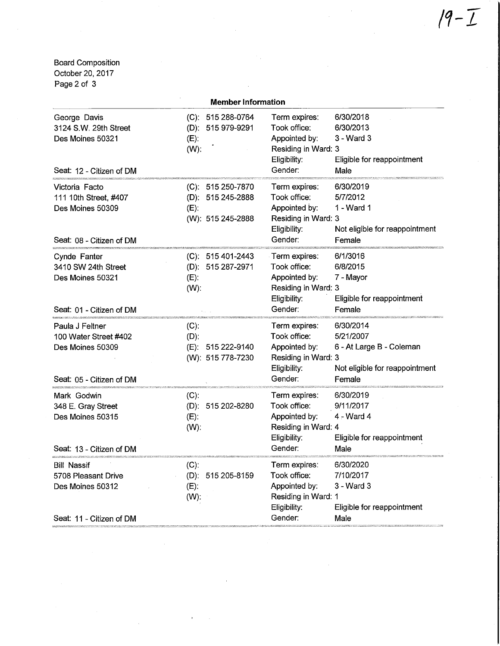Board Composition October 20, 2017 Page 2 of 3

|                                                                                                                                                                   | <b>Member Information</b>                                                                                                                                                                                                                                                           |                                                                                                   |                                                                                                |
|-------------------------------------------------------------------------------------------------------------------------------------------------------------------|-------------------------------------------------------------------------------------------------------------------------------------------------------------------------------------------------------------------------------------------------------------------------------------|---------------------------------------------------------------------------------------------------|------------------------------------------------------------------------------------------------|
| George Davis<br>3124 S.W. 29th Street<br>Des Moines 50321<br>Seat: 12 - Citizen of DM                                                                             | (C): 515 288-0764<br>(D): 515 979-9291<br>$(E)$ :<br>$(W)$ :                                                                                                                                                                                                                        | Term expires:<br>Took office:<br>Appointed by:<br>Residing in Ward: 3<br>Eligibility:<br>Gender:  | 6/30/2018<br>6/30/2013<br>3 - Ward 3<br>Eligible for reappointment<br>Male                     |
| Victoria Facto<br>111 10th Street, #407<br>Des Moines 50309<br>Seat: 08 - Citizen of DM                                                                           | 515 250-7870<br>$(C)$ :<br>(D): 515 245-2888<br>$(E)$ :<br>(W): 515 245-2888                                                                                                                                                                                                        | Term expires:<br>Took office:<br>Appointed by:<br>Residing in Ward: 3<br>Eligibility:<br>Gender:  | 6/30/2019<br>5/7/2012<br>1 - Ward 1<br>Not eligible for reappointment<br>Female                |
| Cynde Fanter<br>3410 SW 24th Street<br>Des Moines 50321<br>Seat: 01 - Citizen of DM                                                                               | $(C): 515401 - 2443$<br>(D): 515 287-2971<br>$(E)$ :<br>$(W)$ :                                                                                                                                                                                                                     | Term expires:<br>Took office:<br>Appointed by:<br>Residing in Ward: 3<br>Eligibility:<br>Gender:  | 6/1/3016<br>6/8/2015<br>7 - Mayor<br>Eligible for reappointment<br>Female                      |
| Paula J Feltner<br>100 Water Street #402<br>Des Moines 50309<br>Seat: 05 - Citizen of DM                                                                          | $(C)$ :<br>$(D)$ :<br>(E): 515 222-9140<br>(W): 515 778-7230                                                                                                                                                                                                                        | Term expires:<br>Took office:<br>Appointed by:<br>Residing in Ward: 3<br>Eligibility:<br>Gender:  | 6/30/2014<br>5/21/2007<br>6 - At Large B - Coleman<br>Not eligible for reappointment<br>Female |
| Mark Godwin<br>348 E. Gray Street<br>Des Moines 50315<br>Seat: 13 - Citizen of DM                                                                                 | The control of the control of the control of the control of the control of the control of the control of the control of the control of the control of the control of the control of the control of the control of the control<br>$(C)$ :<br>(D): 515 202-8280<br>$(E)$ :<br>$(W)$ : | Term expires:<br>Took office:<br>Appointed by:<br>Residing in Ward: 4<br>Eligibility:<br>Gender:  | 6/30/2019<br>9/11/2017<br>4 - Ward 4<br>Eligible for reappointment<br>Male                     |
| <u>aliyyaasiisay xaraanaana ing aan amaanaanaan ing ahaan ing ka</u><br><b>Bill Nassif</b><br>5708 Pleasant Drive<br>Des Moines 50312<br>Seat: 11 - Citizen of DM | (U):<br>$(D)$ :<br>515 205-8159<br>$(E)$ :<br>(W):                                                                                                                                                                                                                                  | I erm expires:<br>Took office:<br>Appointed by:<br>Residing in Ward: 1<br>Eligibility:<br>Gender: | 6/30/2020<br>7/10/2017<br>$3 - Ward3$<br>Eligible for reappointment<br>Male                    |
|                                                                                                                                                                   |                                                                                                                                                                                                                                                                                     |                                                                                                   |                                                                                                |